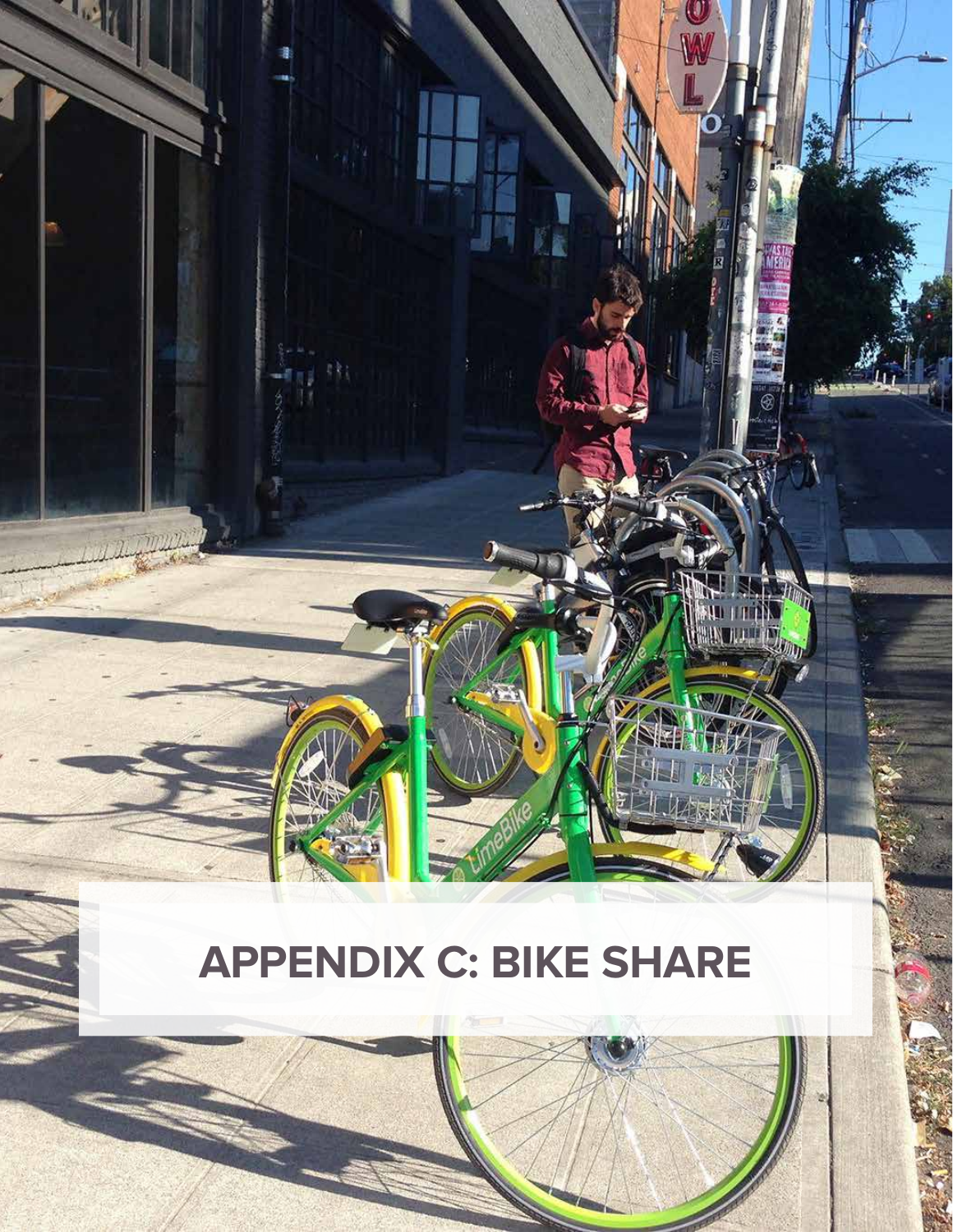## **APPENDIX C: BIKE SHARE**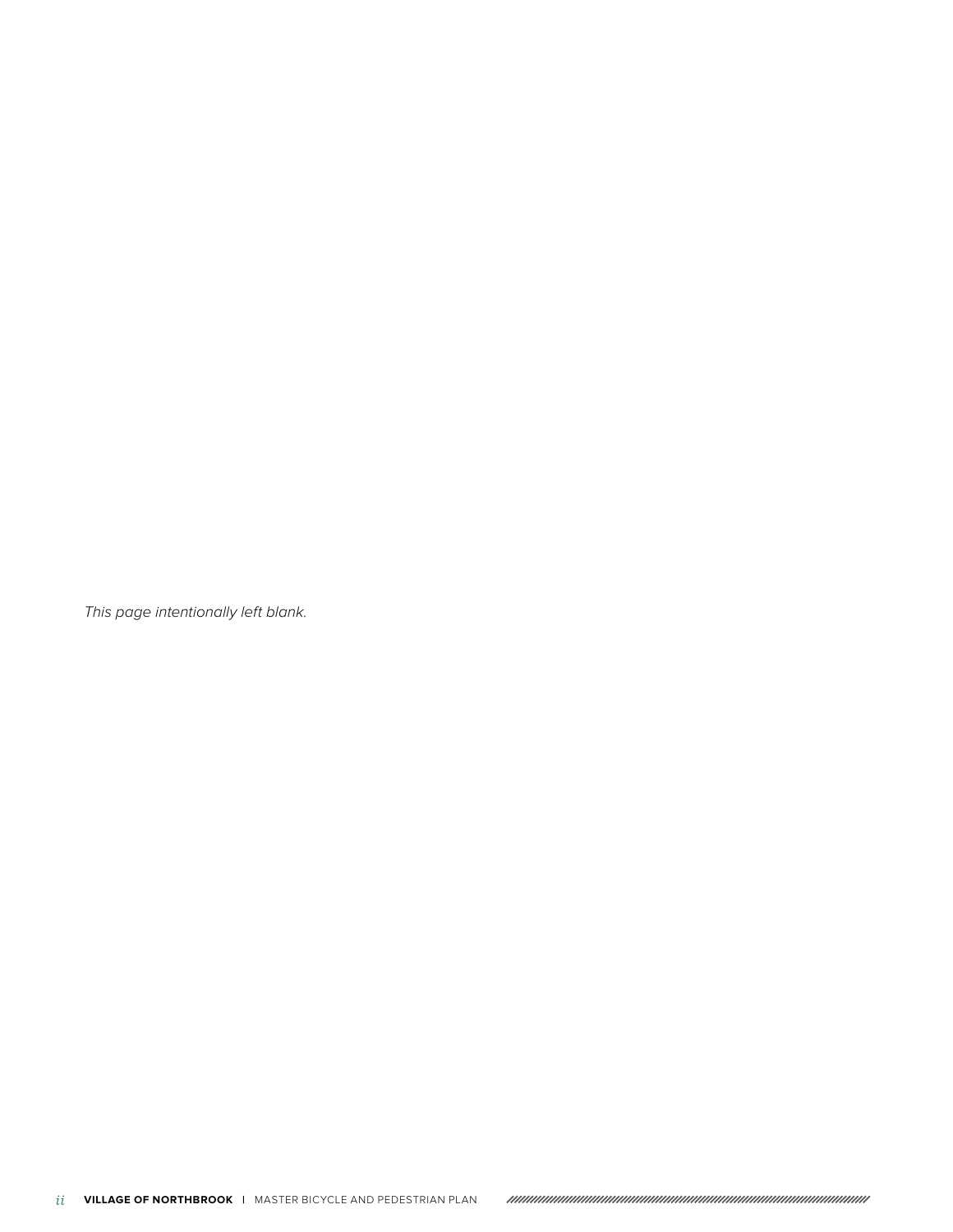This page intentionally left blank.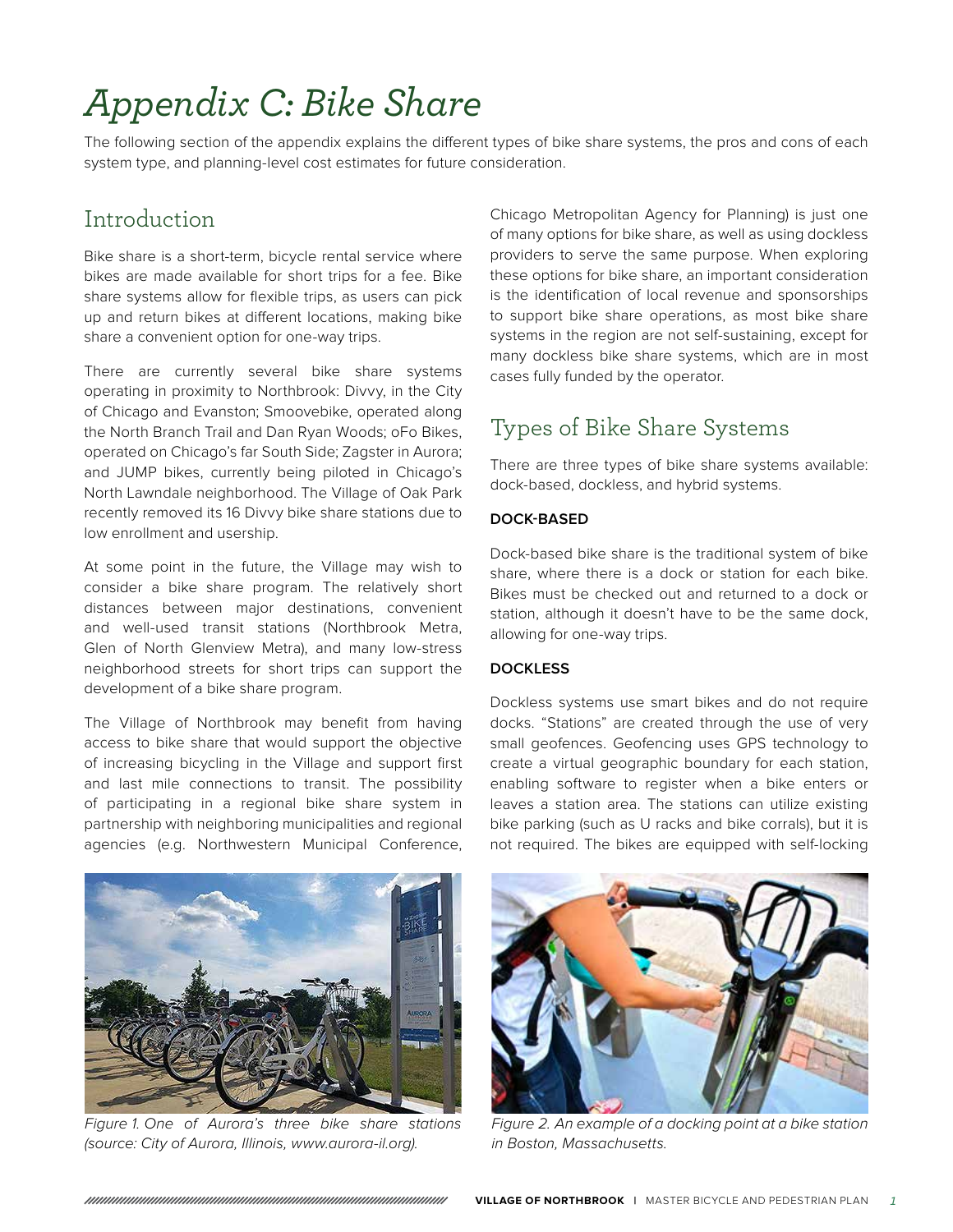# *Appendix C: Bike Share*

The following section of the appendix explains the different types of bike share systems, the pros and cons of each system type, and planning-level cost estimates for future consideration.

## Introduction

Bike share is a short-term, bicycle rental service where bikes are made available for short trips for a fee. Bike share systems allow for flexible trips, as users can pick up and return bikes at different locations, making bike share a convenient option for one-way trips.

There are currently several bike share systems operating in proximity to Northbrook: Divvy, in the City of Chicago and Evanston; Smoovebike, operated along the North Branch Trail and Dan Ryan Woods; oFo Bikes, operated on Chicago's far South Side; Zagster in Aurora; and JUMP bikes, currently being piloted in Chicago's North Lawndale neighborhood. The Village of Oak Park recently removed its 16 Divvy bike share stations due to low enrollment and usership.

At some point in the future, the Village may wish to consider a bike share program. The relatively short distances between major destinations, convenient and well-used transit stations (Northbrook Metra, Glen of North Glenview Metra), and many low-stress neighborhood streets for short trips can support the development of a bike share program.

The Village of Northbrook may benefit from having access to bike share that would support the objective of increasing bicycling in the Village and support first and last mile connections to transit. The possibility of participating in a regional bike share system in partnership with neighboring municipalities and regional agencies (e.g. Northwestern Municipal Conference,

Chicago Metropolitan Agency for Planning) is just one of many options for bike share, as well as using dockless providers to serve the same purpose. When exploring these options for bike share, an important consideration is the identification of local revenue and sponsorships to support bike share operations, as most bike share systems in the region are not self-sustaining, except for many dockless bike share systems, which are in most cases fully funded by the operator.

## Types of Bike Share Systems

There are three types of bike share systems available: dock-based, dockless, and hybrid systems.

#### **DOCK-BASED**

Dock-based bike share is the traditional system of bike share, where there is a dock or station for each bike. Bikes must be checked out and returned to a dock or station, although it doesn't have to be the same dock, allowing for one-way trips.

#### **DOCKLESS**

Dockless systems use smart bikes and do not require docks. "Stations" are created through the use of very small geofences. Geofencing uses GPS technology to create a virtual geographic boundary for each station, enabling software to register when a bike enters or leaves a station area. The stations can utilize existing bike parking (such as U racks and bike corrals), but it is not required. The bikes are equipped with self-locking



Figure 1. One of Aurora's three bike share stations (source: City of Aurora, Illinois, www.aurora-il.org).



Figure 2. An example of a docking point at a bike station in Boston, Massachusetts.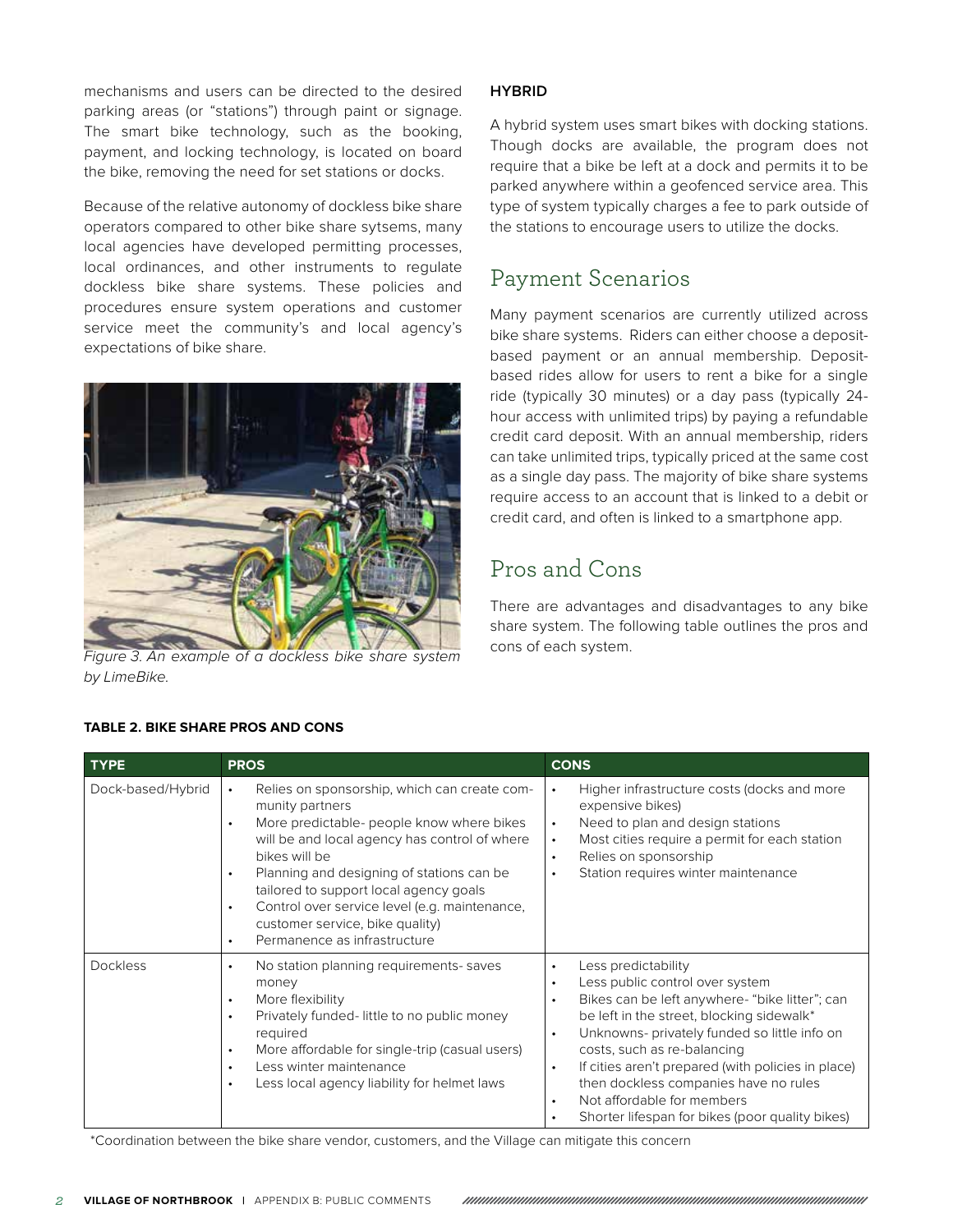mechanisms and users can be directed to the desired parking areas (or "stations") through paint or signage. The smart bike technology, such as the booking, payment, and locking technology, is located on board the bike, removing the need for set stations or docks.

Because of the relative autonomy of dockless bike share operators compared to other bike share sytsems, many local agencies have developed permitting processes, local ordinances, and other instruments to regulate dockless bike share systems. These policies and procedures ensure system operations and customer service meet the community's and local agency's expectations of bike share.



Figure 3. An example of a dockless bike share system by LimeBike.

#### **HYBRID**

A hybrid system uses smart bikes with docking stations. Though docks are available, the program does not require that a bike be left at a dock and permits it to be parked anywhere within a geofenced service area. This type of system typically charges a fee to park outside of the stations to encourage users to utilize the docks.

### Payment Scenarios

Many payment scenarios are currently utilized across bike share systems. Riders can either choose a depositbased payment or an annual membership. Depositbased rides allow for users to rent a bike for a single ride (typically 30 minutes) or a day pass (typically 24 hour access with unlimited trips) by paying a refundable credit card deposit. With an annual membership, riders can take unlimited trips, typically priced at the same cost as a single day pass. The majority of bike share systems require access to an account that is linked to a debit or credit card, and often is linked to a smartphone app.

## Pros and Cons

There are advantages and disadvantages to any bike share system. The following table outlines the pros and cons of each system.

| <b>TYPE</b>       | <b>PROS</b>                                                                                                                                                                                                                                                                                                                                                                                                                        | <b>CONS</b>                                                                                                                                                                                                                                                                                                                                                                                                                                                 |
|-------------------|------------------------------------------------------------------------------------------------------------------------------------------------------------------------------------------------------------------------------------------------------------------------------------------------------------------------------------------------------------------------------------------------------------------------------------|-------------------------------------------------------------------------------------------------------------------------------------------------------------------------------------------------------------------------------------------------------------------------------------------------------------------------------------------------------------------------------------------------------------------------------------------------------------|
| Dock-based/Hybrid | Relies on sponsorship, which can create com-<br>$\bullet$<br>munity partners<br>More predictable- people know where bikes<br>$\bullet$<br>will be and local agency has control of where<br>bikes will be<br>Planning and designing of stations can be<br>٠<br>tailored to support local agency goals<br>Control over service level (e.g. maintenance,<br>٠<br>customer service, bike quality)<br>Permanence as infrastructure<br>٠ | Higher infrastructure costs (docks and more<br>$\bullet$<br>expensive bikes)<br>Need to plan and design stations<br>Most cities require a permit for each station<br>$\bullet$<br>Relies on sponsorship<br>$\bullet$<br>Station requires winter maintenance                                                                                                                                                                                                 |
| <b>Dockless</b>   | No station planning requirements-saves<br>٠<br>money<br>More flexibility<br>$\bullet$<br>Privately funded-little to no public money<br>٠<br>required<br>More affordable for single-trip (casual users)<br>$\bullet$<br>Less winter maintenance<br>Less local agency liability for helmet laws<br>٠                                                                                                                                 | Less predictability<br>Less public control over system<br>Bikes can be left anywhere- "bike litter"; can<br>be left in the street, blocking sidewalk*<br>Unknowns- privately funded so little info on<br>$\bullet$<br>costs, such as re-balancing<br>If cities aren't prepared (with policies in place)<br>$\bullet$<br>then dockless companies have no rules<br>Not affordable for members<br>$\bullet$<br>Shorter lifespan for bikes (poor quality bikes) |

#### **Table 2. BIKE SHARE PROS AND CONS**

\*Coordination between the bike share vendor, customers, and the Village can mitigate this concern